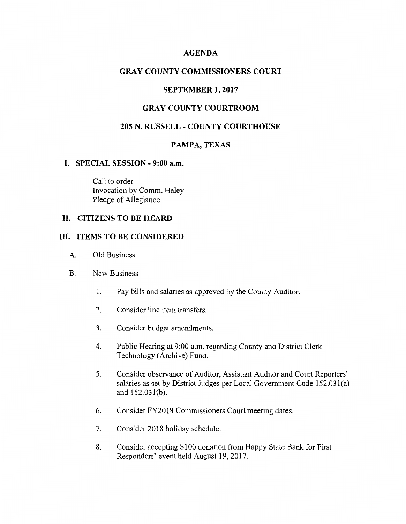# **AGENDA**

# **GRAY COUNTY COMMISSIONERS COURT**

### **SEPTEMBER 1, 2017**

# **GRAY COUNTY COURTROOM**

## **205 N. RUSSELL - COUNTY COURTHOUSE**

### **PAMPA, TEXAS**

#### **I. SPECIAL SESSION - 9:00 a.m.**

Call to order Invocation by Comm. Haley Pledge of Allegiance

## **II. CITIZENS TO BE HEARD**

### **III. ITEMS TO BE CONSIDERED**

- A. Old Business
- B. New Business
	- 1. Pay bills and salaries as approved by the County Auditor.
	- 2. Consider line item transfers.
	- 3. Consider budget amendments.
	- 4. Public Hearing at 9:00 a.m. regarding County and District Clerk Technology (Archive) Fund.
	- 5. Consider observance of Auditor, Assistant Auditor and Court Reporters' salaries as set by District Judges per Local Government Code 152.031(a) and 152.03 l(b).
	- 6. Consider FY2018 Commissioners Court meeting dates.
	- 7. Consider 2018 holiday schedule.
	- 8. Consider accepting \$100 donation from Happy State Bank for First Responders' event held August 19, 2017.